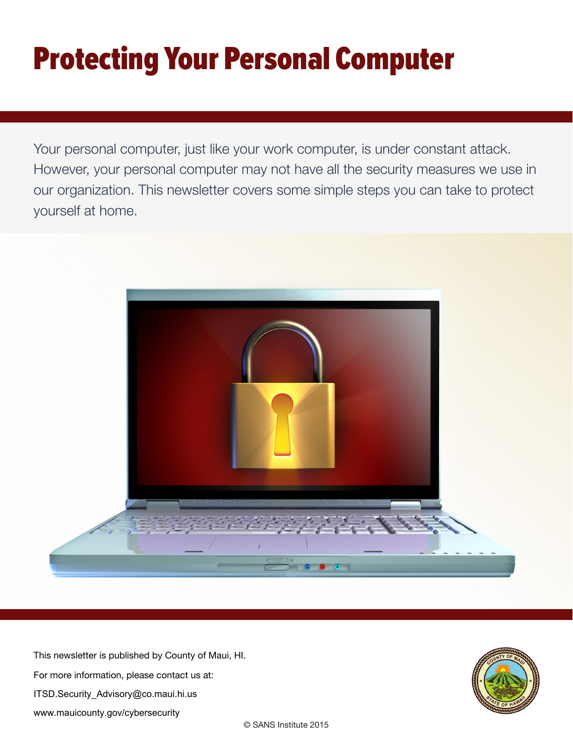# Protecting Your Personal Computer

Your personal computer, just like your work computer, is under constant attack. However, your personal computer may not have all the security measures we use in our organization. This newsletter covers some simple steps you can take to protect yourself at home.



This newsletter is published by County of Maui, HI. For more information, please contact us at: ITSD.Security\_Advisory@co.maui.hi.us www.mauicounty.gov/cybersecurity

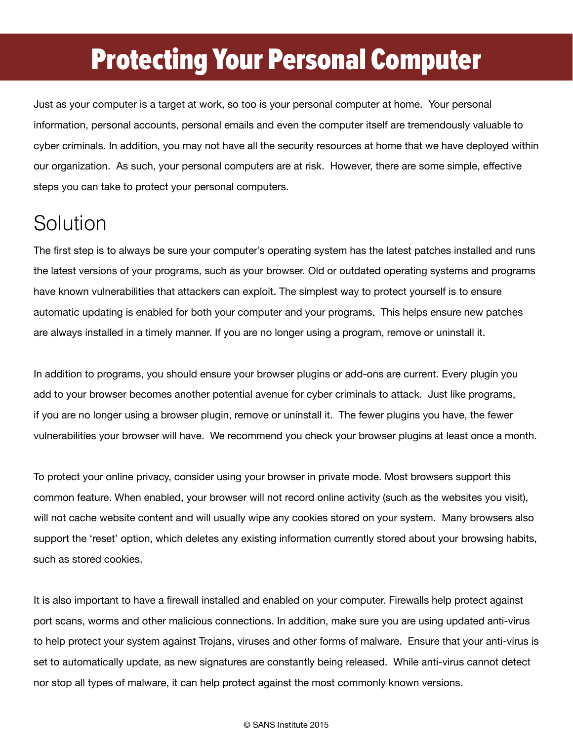### Protecting Your Personal Computer

Just as your computer is a target at work, so too is your personal computer at home. Your personal information, personal accounts, personal emails and even the computer itself are tremendously valuable to cyber criminals. In addition, you may not have all the security resources at home that we have deployed within our organization. As such, your personal computers are at risk. However, there are some simple, effective steps you can take to protect your personal computers.

#### Solution

The first step is to always be sure your computer's operating system has the latest patches installed and runs the latest versions of your programs, such as your browser. Old or outdated operating systems and programs have known vulnerabilities that attackers can exploit. The simplest way to protect yourself is to ensure automatic updating is enabled for both your computer and your programs. This helps ensure new patches are always installed in a timely manner. If you are no longer using a program, remove or uninstall it.

In addition to programs, you should ensure your browser plugins or add-ons are current. Every plugin you add to your browser becomes another potential avenue for cyber criminals to attack. Just like programs, if you are no longer using a browser plugin, remove or uninstall it. The fewer plugins you have, the fewer vulnerabilities your browser will have. We recommend you check your browser plugins at least once a month.

To protect your online privacy, consider using your browser in private mode. Most browsers support this common feature. When enabled, your browser will not record online activity (such as the websites you visit), will not cache website content and will usually wipe any cookies stored on your system. Many browsers also support the 'reset' option, which deletes any existing information currently stored about your browsing habits, such as stored cookies.

It is also important to have a firewall installed and enabled on your computer. Firewalls help protect against port scans, worms and other malicious connections. In addition, make sure you are using updated anti-virus to help protect your system against Trojans, viruses and other forms of malware. Ensure that your anti-virus is set to automatically update, as new signatures are constantly being released. While anti-virus cannot detect nor stop all types of malware, it can help protect against the most commonly known versions.